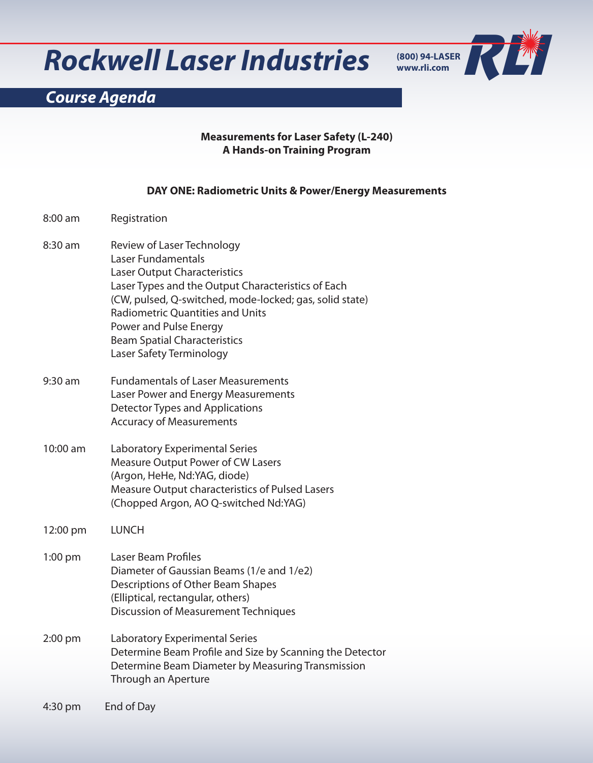## **Rockwell Laser Industries**



## *Course Agenda*

#### **Measurements for Laser Safety (L-240) A Hands-on Training Program**

#### **DAY ONE: Radiometric Units & Power/Energy Measurements**

| 8:00 am   | Registration                                                                                                                                                                                                                                                                                                                                     |
|-----------|--------------------------------------------------------------------------------------------------------------------------------------------------------------------------------------------------------------------------------------------------------------------------------------------------------------------------------------------------|
| 8:30 am   | Review of Laser Technology<br>Laser Fundamentals<br><b>Laser Output Characteristics</b><br>Laser Types and the Output Characteristics of Each<br>(CW, pulsed, Q-switched, mode-locked; gas, solid state)<br><b>Radiometric Quantities and Units</b><br>Power and Pulse Energy<br><b>Beam Spatial Characteristics</b><br>Laser Safety Terminology |
| $9:30$ am | <b>Fundamentals of Laser Measurements</b><br>Laser Power and Energy Measurements<br>Detector Types and Applications<br><b>Accuracy of Measurements</b>                                                                                                                                                                                           |
| 10:00 am  | Laboratory Experimental Series<br><b>Measure Output Power of CW Lasers</b><br>(Argon, HeHe, Nd:YAG, diode)<br>Measure Output characteristics of Pulsed Lasers<br>(Chopped Argon, AO Q-switched Nd:YAG)                                                                                                                                           |
| 12:00 pm  | <b>LUNCH</b>                                                                                                                                                                                                                                                                                                                                     |
| $1:00$ pm | Laser Beam Profiles<br>Diameter of Gaussian Beams (1/e and 1/e2)<br>Descriptions of Other Beam Shapes<br>(Elliptical, rectangular, others)<br><b>Discussion of Measurement Techniques</b>                                                                                                                                                        |
| 2:00 pm   | Laboratory Experimental Series<br>Determine Beam Profile and Size by Scanning the Detector<br>Determine Beam Diameter by Measuring Transmission<br>Through an Aperture                                                                                                                                                                           |
| 4:30 pm   | End of Day                                                                                                                                                                                                                                                                                                                                       |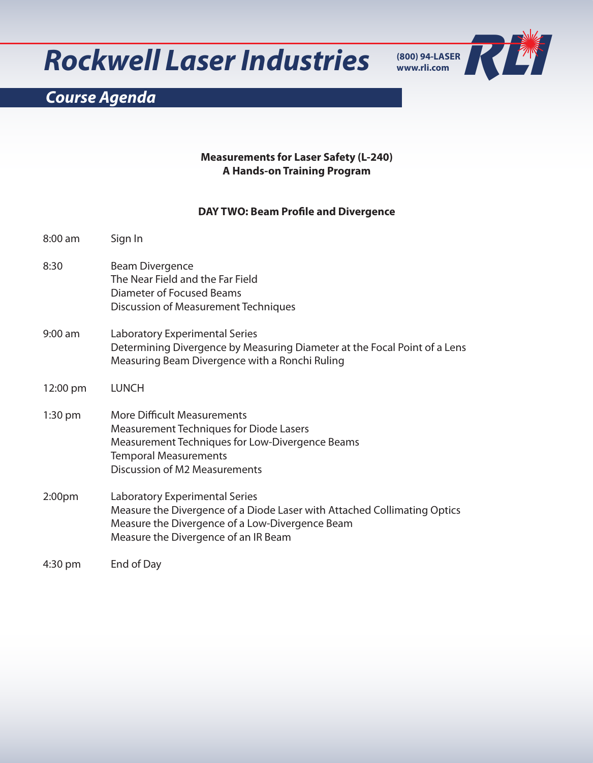## **Rockwell Laser Industries**



## *Course Agenda*

#### **Measurements for Laser Safety (L-240) A Hands-on Training Program**

#### **DAY TWO: Beam Profile and Divergence**

| 8:00 am   | Sign In                                                                                                                                                                                                         |
|-----------|-----------------------------------------------------------------------------------------------------------------------------------------------------------------------------------------------------------------|
| 8:30      | <b>Beam Divergence</b><br>The Near Field and the Far Field<br>Diameter of Focused Beams<br><b>Discussion of Measurement Techniques</b>                                                                          |
| $9:00$ am | Laboratory Experimental Series<br>Determining Divergence by Measuring Diameter at the Focal Point of a Lens<br>Measuring Beam Divergence with a Ronchi Ruling                                                   |
| 12:00 pm  | <b>LUNCH</b>                                                                                                                                                                                                    |
| $1:30$ pm | <b>More Difficult Measurements</b><br><b>Measurement Techniques for Diode Lasers</b><br>Measurement Techniques for Low-Divergence Beams<br><b>Temporal Measurements</b><br><b>Discussion of M2 Measurements</b> |
| 2:00pm    | Laboratory Experimental Series<br>Measure the Divergence of a Diode Laser with Attached Collimating Optics<br>Measure the Divergence of a Low-Divergence Beam<br>Measure the Divergence of an IR Beam           |
| 4:30 pm   | End of Day                                                                                                                                                                                                      |